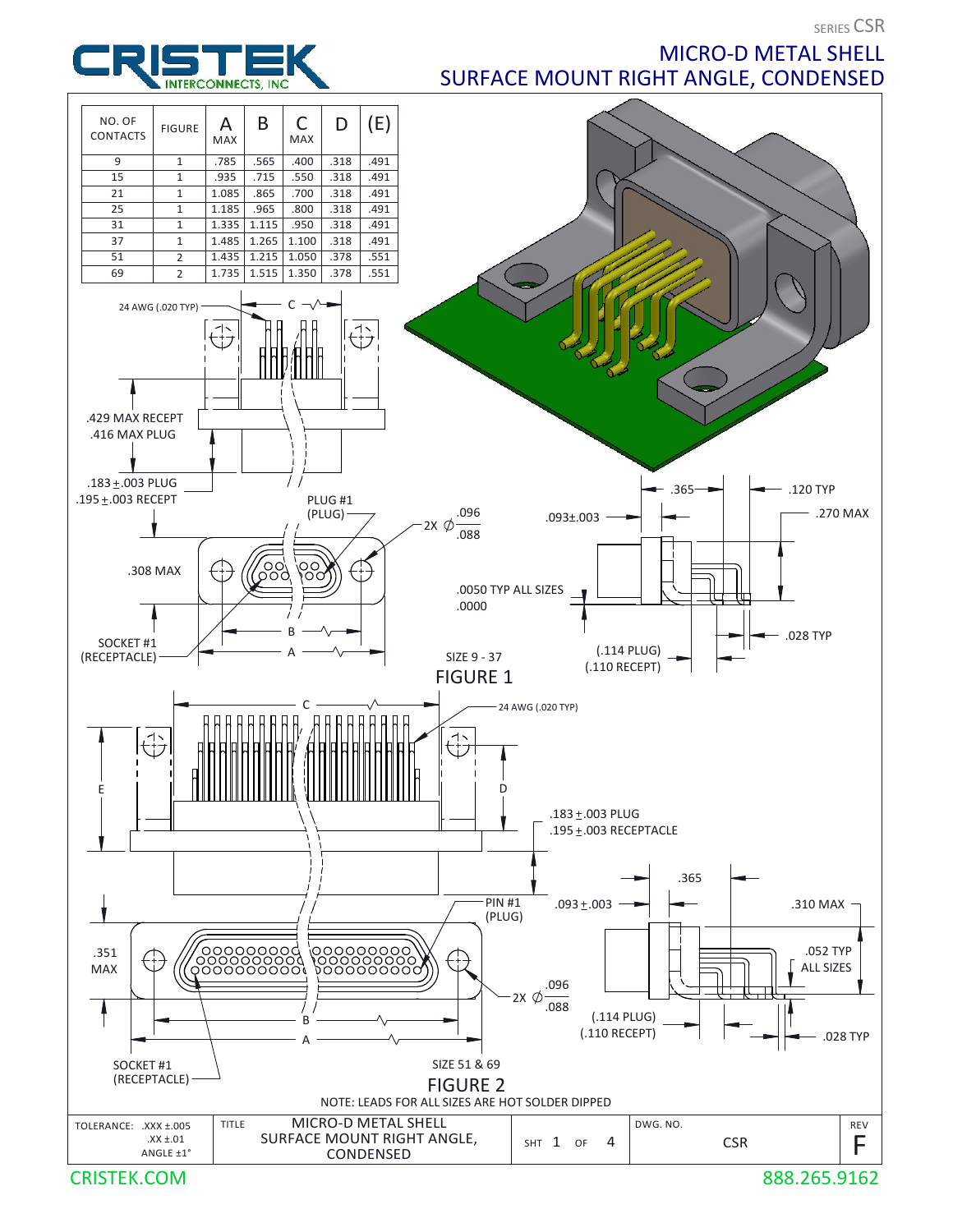**SERIES CSR** 

**INTERCONNECTS, INC** 

MICRO-D METAL SHELL SURFACE MOUNT RIGHT ANGLE, CONDENSED

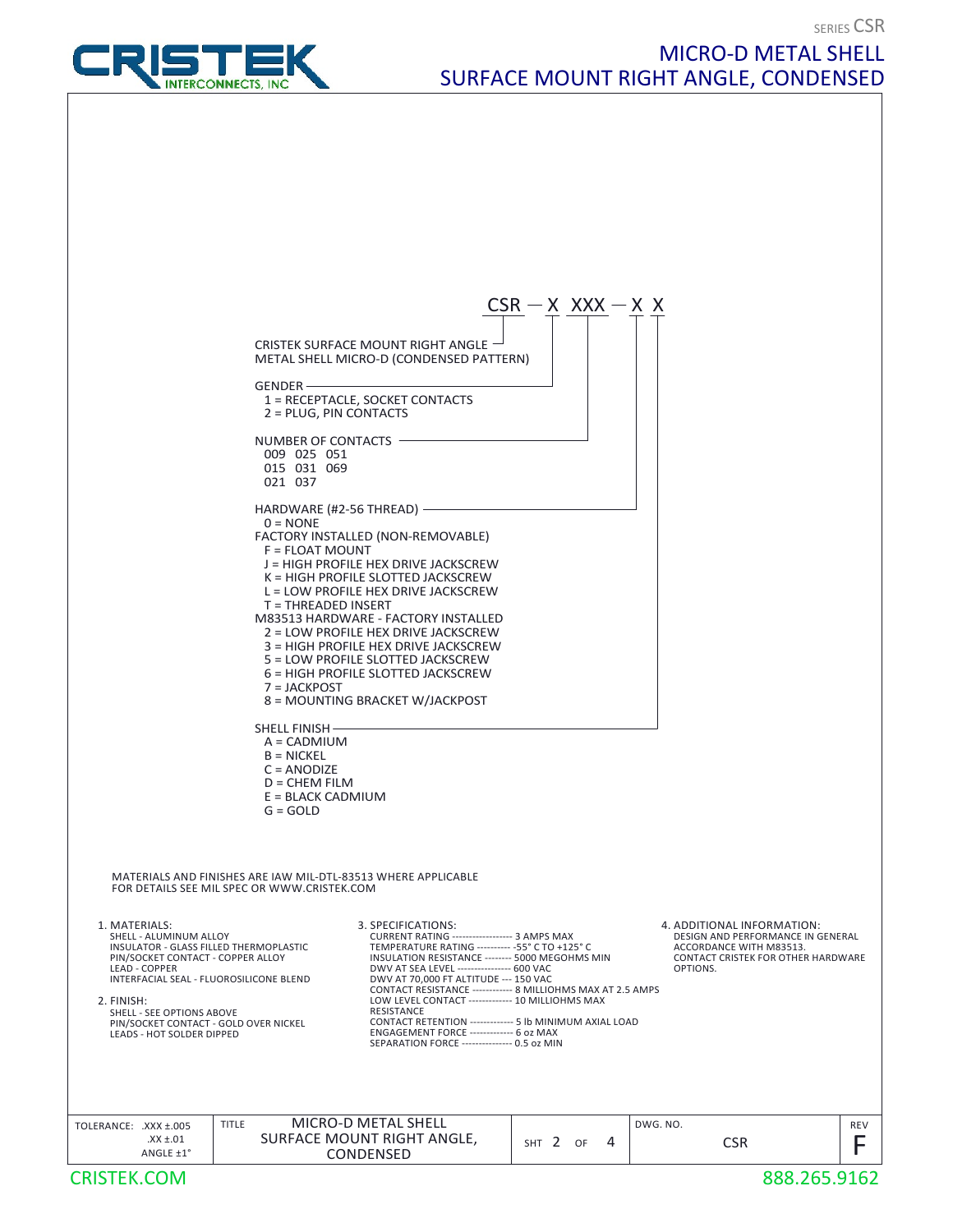MICRO-D METAL SHELL

SURFACE MOUNT RIGHT ANGLE, CONDENSED



## PIN/SOCKET CONTACT - GOLD OVER NICKEL **CONTACT RETENTION** ------3. SPECIFICATIONS:<br>CURRENT RATING ------------------ 3 AMPS MAX CURRENT RATING ------------------ 3 AMPS MAX DESIGN AND PERFORMANCE IN GENERAL INSULATOR - GLASS FILLED THERMOPLASTIC TEMPERATURE RATING ---------- -55° C TO +125° C <br>PIN/SOCKET CONTACT - COPPER ALLOY INSULATION RESISTANCE -------- 5000 MEGOHMS MIN CONTACT C DWV AT SEA LEVEL ---------------- 600 VAC DWV AT 70,000 FT ALTITUDE --- 150 VAC LEAD - COPPER CONTACT RESISTANCE ------------ 8 MILLIOHMS MAX AT 2.5 AMPS<br>LOW LEVEL CONTACT ------------- 10 MILLIOHMS MAX LOW LEVEL CONTACT ---- RESISTANCE ------- 5 lb MINIMUM AXIAL LOAD ENGAGEMENT FORCE ------------- 6 oz MAX SEPARATION FORCE --------------- 0.5 oz MIN MATERIALS AND FINISHES ARE IAW MIL-DTL-83513 WHERE APPLICABLE MATERIALS AND FINISHES ARE IAW MIL-DTL-83513 WHERE APPLICABLE<br>FOR DETAILS SEE MIL SPEC OR WWW.CRISTEK.COM 4. ADDITIONAL INFORMATION: ACCORDANCE WITH M83513. CONTACT CRISTEK FOR OTHER HARDWARE<br>OPTIONS. OPTIONS. 1. MATERIALS: PIN/SOCKET CONTACT - COPPER ALLOY SHELL - ALUMINUM ALLOY INTERFACIAL SEAL - FLUOROSILICONE BLEND 2. FINISH: SHELL - SEE OPTIONS ABOVE LEADS - HOT SOLDER DIPPED  $CSR - X$  XXX  $-X$  X CRISTEK SURFACE MOUNT RIGHT ANGLE METAL SHELL MICRO-D (CONDENSED PATTERN) GENDER 1 = RECEPTACLE, SOCKET CONTACTS 2 = PLUG, PIN CONTACTS NUMBER OF CONTACTS 009 025 051 015 031 069 021 037 HARDWARE (#2-56 THREAD)  $0 = NONF$ FACTORY INSTALLED (NON-REMOVABLE) F = FLOAT MOUNT J = HIGH PROFILE HEX DRIVE JACKSCREW K = HIGH PROFILE SLOTTED JACKSCREW L = LOW PROFILE HEX DRIVE JACKSCREW  $T = THRFADFD$  INSERT M83513 HARDWARE - FACTORY INSTALLED 2 = LOW PROFILE HEX DRIVE JACKSCREW 3 = HIGH PROFILE HEX DRIVE JACKSCREW 5 = LOW PROFILE SLOTTED JACKSCREW 6 = HIGH PROFILE SLOTTED JACKSCREW 7 = JACKPOST 8 = MOUNTING BRACKET W/JACKPOST SHELL FINISH- A = CADMIUM  $B = NICKEL$  $C = ANDDIZF$  D = CHEM FILM E = BLACK CADMIUM  $G = GOLD$ MICRO-D METAL SHELL<br>
CSR CONDENSED<br>
CSR - X XXX - X X<br>
TTERN) CRISTEK.COM 888.265.9162  $\begin{array}{c|c|c|c|c|c} \text{AXX} \pm .005 & & & \text{TITLE} & & \text{MICRO-D METAL SHEL} \\ \hline \text{AX} \pm .01 & & & \text{SURFACE MOUNT RIGHT ANGLE} & & & \text{SHT} & 2 & \text{OF} & 4 & & \text{CSR} & & \text{F} \\ \text{ANGLE} \pm 1^{\circ} & & & & \text{COMDENSED} & & & \text{CFR} & & \text{CFR} \end{array}$ SHT OF 4 TOLERANCE: .XXX ±.005 DWG. NO. TITLE MICRO-D METAL SHELL  $\begin{array}{c|c|c|c|c|c} \text{xx} \pm .01 & \text{SURFACE } \text{MOUNT RIGHT ANGLE}, & \text{sHT } 2 & \text{of} & 4 & \text{CSR} & \text{FSR} & \text{FF} & \text{F} & \end{array}$ CONDENSED

SERIES CSR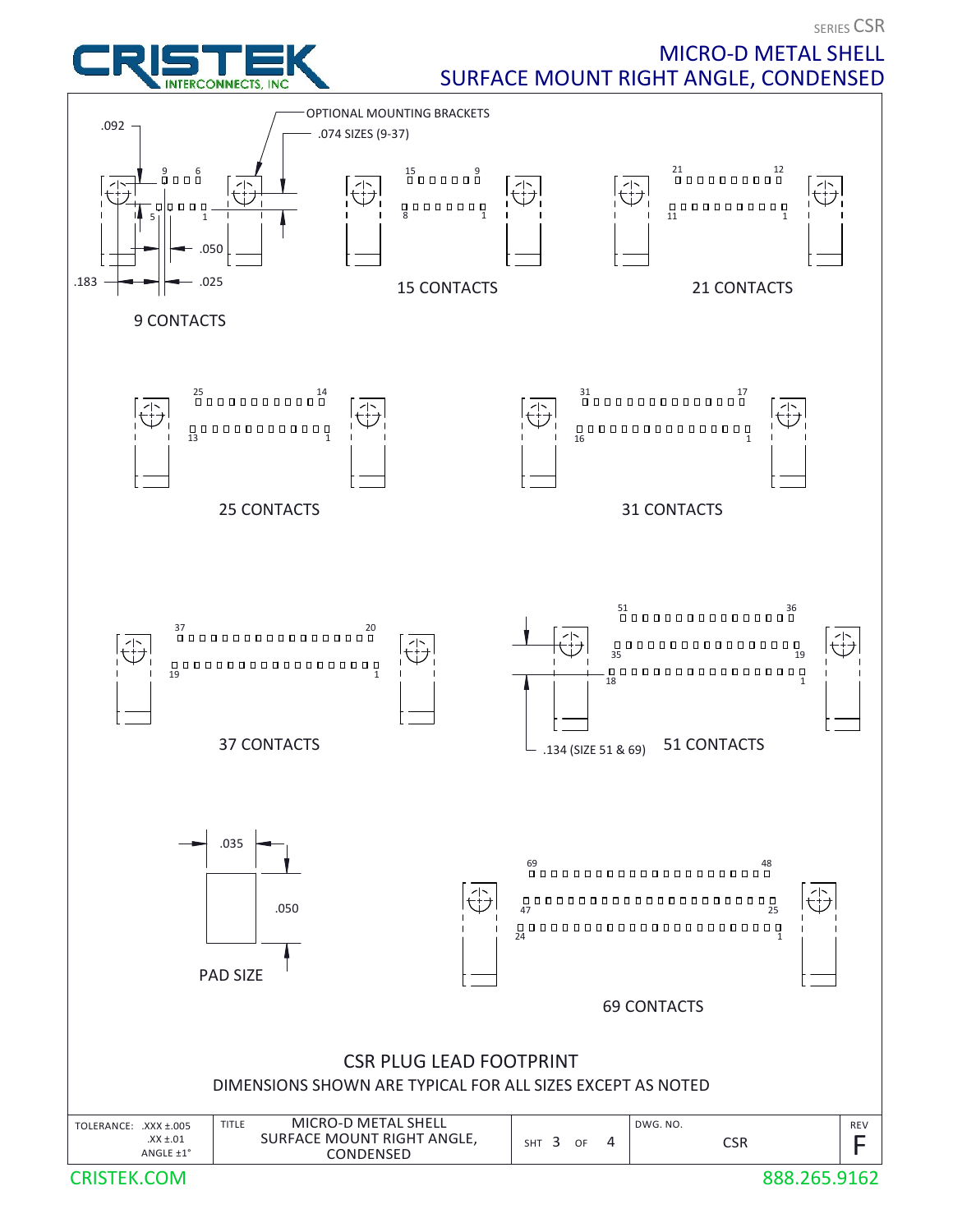**SERIES CSR** 



## MICRO-D METAL SHELL SURFACE MOUNT RIGHT ANGLE, CONDENSED